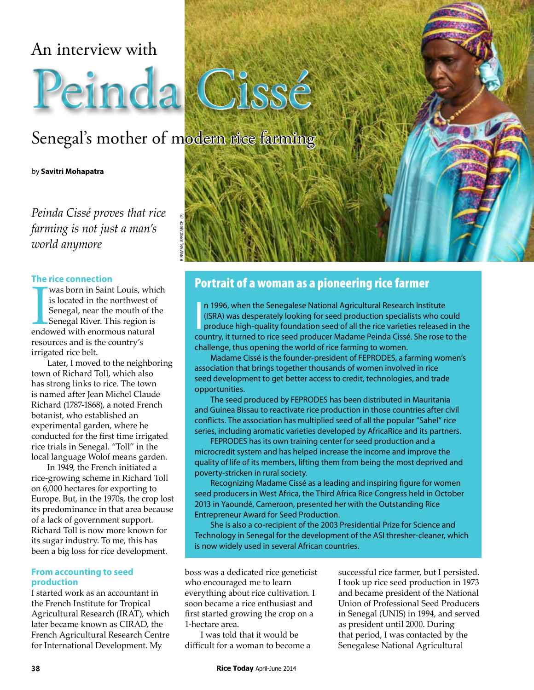### An interview with

# Peinda Cissé

## Senegal's mother of modern rice farming

R RAMAN, AFRICARICE (3)

by **Savitri Mohapatra**

*Peinda Cissé proves that rice farming is not just a man's world anymore*

#### **The rice connection**

was born in Saint Louis, whis<br>is located in the northwest of<br>Senegal, near the mouth of the<br>Senegal River. This region is<br>endowed with enormous natural was born in Saint Louis, which is located in the northwest of Senegal, near the mouth of the Senegal River. This region is resources and is the country's irrigated rice belt.

Later, I moved to the neighboring town of Richard Toll, which also has strong links to rice. The town is named after Jean Michel Claude Richard (1787-1868), a noted French botanist, who established an experimental garden, where he conducted for the first time irrigated rice trials in Senegal. "Toll" in the local language Wolof means garden.

In 1949, the French initiated a rice-growing scheme in Richard Toll on 6,000 hectares for exporting to Europe. But, in the 1970s, the crop lost its predominance in that area because of a lack of government support. Richard Toll is now more known for its sugar industry. To me, this has been a big loss for rice development.

#### **From accounting to seed production**

I started work as an accountant in the French Institute for Tropical Agricultural Research (IRAT), which later became known as CIRAD, the French Agricultural Research Centre for International Development. My

## Portrait of a woman as a pioneering rice farmer

In 1996, when the Senegalese National Agricultural Research Institute<br>
(ISRA) was desperately looking for seed production specialists who could<br>
produce high-quality foundation seed of all the rice varieties released in th n 1996, when the Senegalese National Agricultural Research Institute (ISRA) was desperately looking for seed production specialists who could produce high-quality foundation seed of all the rice varieties released in the challenge, thus opening the world of rice farming to women.

Madame Cissé is the founder-president of FEPRODES, a farming women's association that brings together thousands of women involved in rice seed development to get better access to credit, technologies, and trade opportunities.

The seed produced by FEPRODES has been distributed in Mauritania and Guinea Bissau to reactivate rice production in those countries after civil conflicts. The association has multiplied seed of all the popular "Sahel" rice series, including aromatic varieties developed by AfricaRice and its partners.

FEPRODES has its own training center for seed production and a microcredit system and has helped increase the income and improve the quality of life of its members, lifting them from being the most deprived and poverty-stricken in rural society.

Recognizing Madame Cissé as a leading and inspiring figure for women seed producers in West Africa, the Third Africa Rice Congress held in October 2013 in Yaoundé, Cameroon, presented her with the Outstanding Rice Entrepreneur Award for Seed Production.

She is also a co-recipient of the 2003 Presidential Prize for Science and Technology in Senegal for the development of the ASI thresher-cleaner, which is now widely used in several African countries.

boss was a dedicated rice geneticist who encouraged me to learn everything about rice cultivation. I soon became a rice enthusiast and first started growing the crop on a 1-hectare area.

I was told that it would be difficult for a woman to become a successful rice farmer, but I persisted. I took up rice seed production in 1973 and became president of the National Union of Professional Seed Producers in Senegal (UNIS) in 1994, and served as president until 2000. During that period, I was contacted by the Senegalese National Agricultural